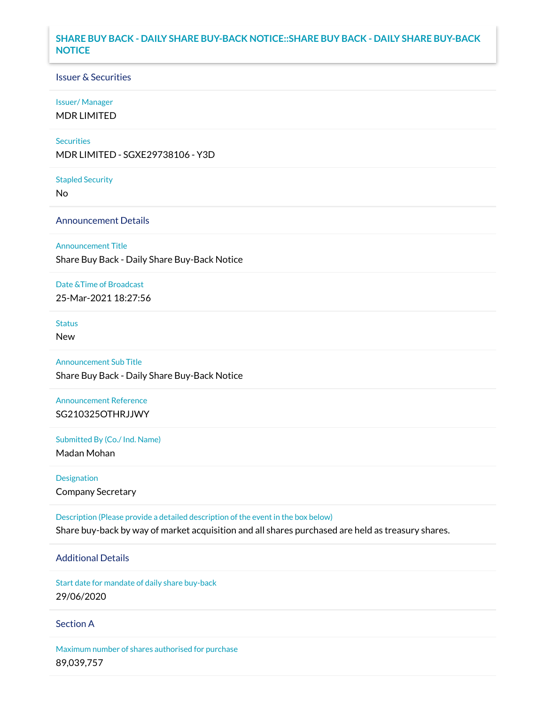## **SHARE BUY BACK - DAILY SHARE BUY-BACK NOTICE::SHARE BUY BACK - DAILY SHARE BUY-BACK NOTICE**

### Issuer & Securities

#### Issuer/ Manager

MDR LIMITED

#### **Securities**

MDR LIMITED - SGXE29738106 - Y3D

#### Stapled Security

No

### Announcement Details

Announcement Title

Share Buy Back - Daily Share Buy-Back Notice

#### Date &Time of Broadcast

25-Mar-2021 18:27:56

## Status

New

# Announcement Sub Title Share Buy Back - Daily Share Buy-Back Notice

Announcement Reference SG210325OTHRJJWY

Submitted By (Co./ Ind. Name)

Madan Mohan

Designation Company Secretary

Description (Please provide a detailed description of the event in the box below) Share buy-back by way of market acquisition and all shares purchased are held as treasury shares.

### Additional Details

Start date for mandate of daily share buy-back 29/06/2020

### Section A

Maximum number of shares authorised for purchase 89,039,757